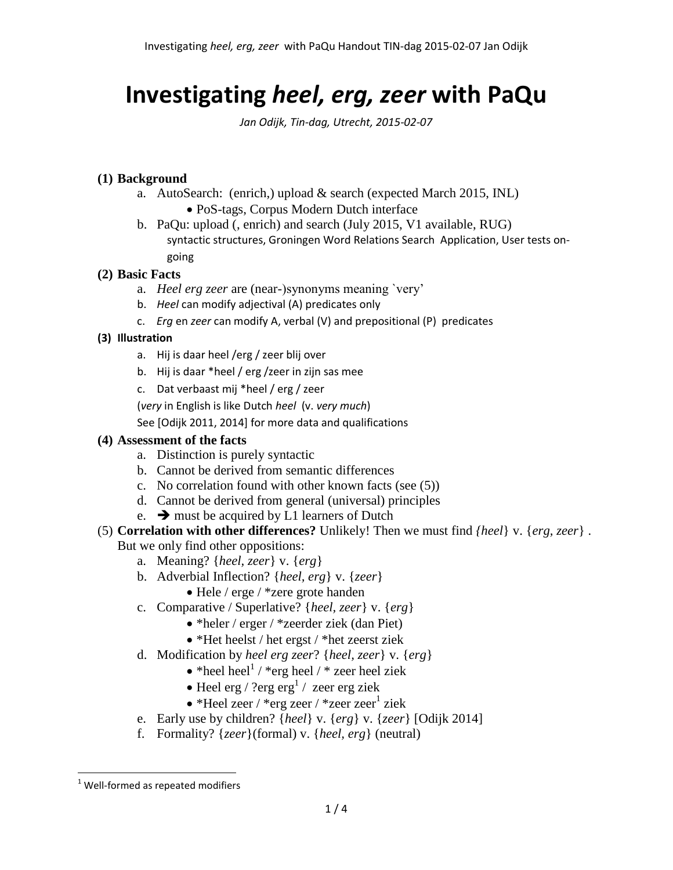# **Investigating** *heel, erg, zeer* **with PaQu**

*Jan Odijk, Tin-dag, Utrecht, 2015-02-07*

## **(1) Background**

- a. AutoSearch: (enrich,) upload & search (expected March 2015, INL)
	- PoS-tags, Corpus Modern Dutch interface
- b. PaQu: upload (, enrich) and search (July 2015, V1 available, RUG) syntactic structures, Groningen Word Relations Search Application, User tests ongoing

#### **(2) Basic Facts**

- a. *Heel erg zeer* are (near-)synonyms meaning `very'
- b. *Heel* can modify adjectival (A) predicates only
- c. *Erg* en *zeer* can modify A, verbal (V) and prepositional (P) predicates

# **(3) Illustration**

- a. Hij is daar heel /erg / zeer blij over
- b. Hij is daar \*heel / erg /zeer in zijn sas mee
- c. Dat verbaast mij \*heel / erg / zeer

(*very* in English is like Dutch *heel* (v. *very much*)

See [Odijk 2011, 2014] for more data and qualifications

# **(4) Assessment of the facts**

- a. Distinction is purely syntactic
- b. Cannot be derived from semantic differences
- c. No correlation found with other known facts (see (5))
- d. Cannot be derived from general (universal) principles
- <span id="page-0-0"></span>e.  $\rightarrow$  must be acquired by L1 learners of Dutch
- (5) **Correlation with other differences?** Unlikely! Then we must find *{heel*} v. {*erg, zeer*} . But we only find other oppositions:
	- a. Meaning? {*heel, zeer*} v. {*erg*}
	- b. Adverbial Inflection? {*heel, erg*} v. {*zeer*}
		- Hele / erge / \*zere grote handen
	- c. Comparative / Superlative? {*heel, zeer*} v. {*erg*}
		- \*heler / erger / \*zeerder ziek (dan Piet)
		- \*Het heelst / het ergst / \*het zeerst ziek
	- d. Modification by *heel erg zeer*? {*heel, zeer*} v. {*erg*}
		- $\bullet$  \*heel heel<sup>1</sup> / \*erg heel / \* zeer heel ziek
		- Heel erg / ?erg  $erg<sup>1</sup>$  $erg<sup>1</sup>$  $erg<sup>1</sup>$  / zeer erg ziek
		- $\bullet$  \*Heel zeer / \*erg zeer / \*zeer zeer<sup>[1](#page-0-0)</sup> ziek
	- e. Early use by children? {*heel*} v. {*erg*} v. {*zeer*} [Odijk 2014]
	- f. Formality? {*zeer*}(formal) v. {*heel, erg*} (neutral)

 $\overline{a}$ 

<sup>1</sup> Well-formed as repeated modifiers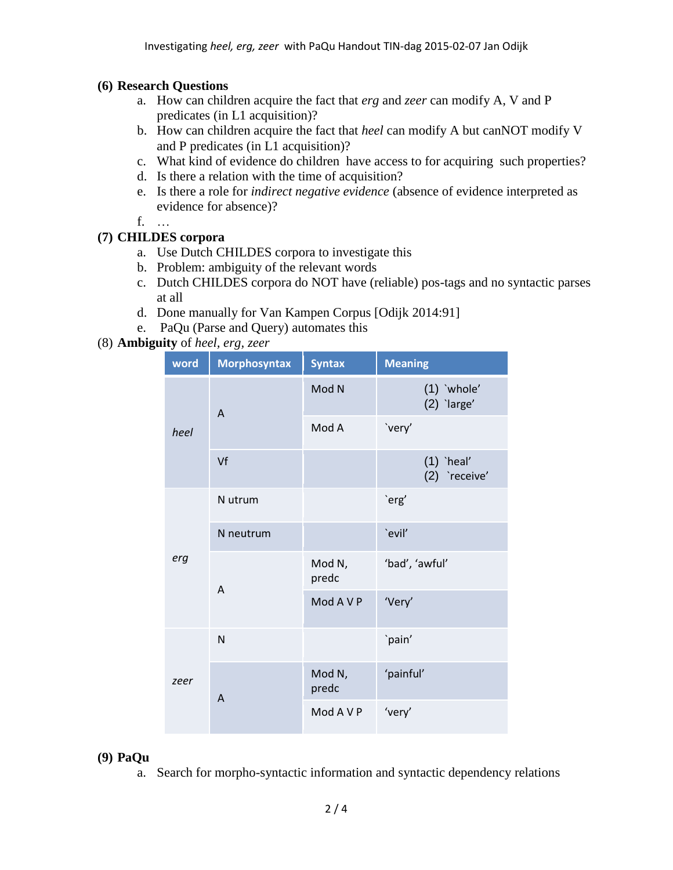## **(6) Research Questions**

- a. How can children acquire the fact that *erg* and *zeer* can modify A, V and P predicates (in L1 acquisition)?
- b. How can children acquire the fact that *heel* can modify A but canNOT modify V and P predicates (in L1 acquisition)?
- c. What kind of evidence do children have access to for acquiring such properties?
- d. Is there a relation with the time of acquisition?
- e. Is there a role for *indirect negative evidence* (absence of evidence interpreted as evidence for absence)?
- f. …

# **(7) CHILDES corpora**

- a. Use Dutch CHILDES corpora to investigate this
- b. Problem: ambiguity of the relevant words
- c. Dutch CHILDES corpora do NOT have (reliable) pos-tags and no syntactic parses at all
- d. Done manually for Van Kampen Corpus [Odijk 2014:91]
- e. PaQu (Parse and Query) automates this

# (8) **Ambiguity** of *heel, erg, zeer*

| word | <b>Morphosyntax</b> | <b>Syntax</b>   | <b>Meaning</b>                 |  |  |  |
|------|---------------------|-----------------|--------------------------------|--|--|--|
| heel | A                   | Mod N           | $(1)$ 'whole'<br>$(2)$ 'large' |  |  |  |
|      |                     | Mod A           | `very'                         |  |  |  |
|      | Vf                  |                 | $(1)$ `heal'<br>(2) `receive'  |  |  |  |
| erg  | N utrum             |                 | `erg'                          |  |  |  |
|      | N neutrum           |                 | `evil'                         |  |  |  |
|      | A                   | Mod N,<br>predc | 'bad', 'awful'                 |  |  |  |
|      |                     | Mod A V P       | 'Very'                         |  |  |  |
| zeer | N                   |                 | `pain'                         |  |  |  |
|      | A                   | Mod N,<br>predc | 'painful'                      |  |  |  |
|      |                     | Mod A V P       | 'very'                         |  |  |  |

#### **(9) PaQu**

a. Search for morpho-syntactic information and syntactic dependency relations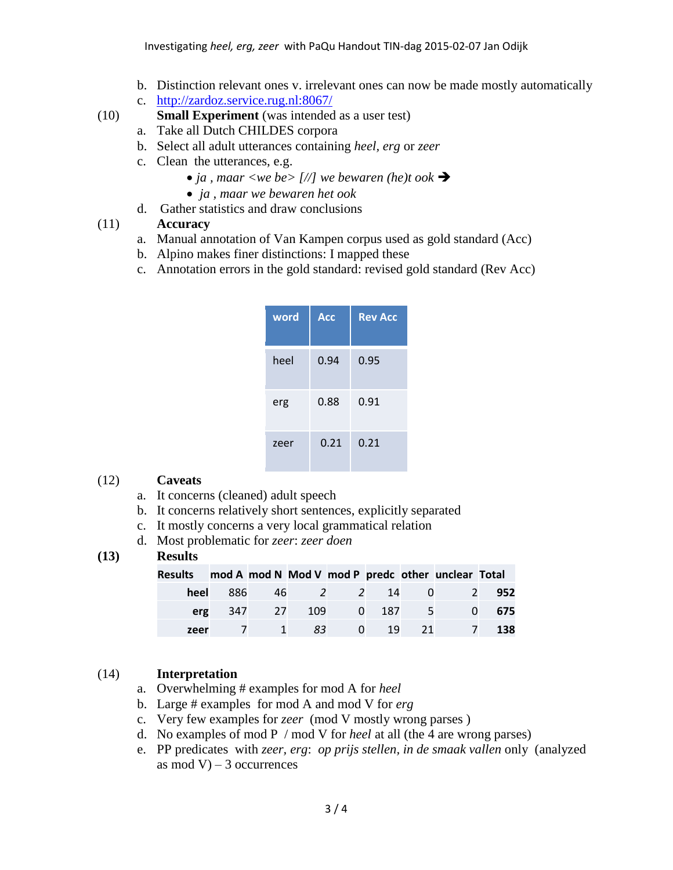- b. Distinction relevant ones v. irrelevant ones can now be made mostly automatically
- c. <http://zardoz.service.rug.nl:8067/>
- (10) **Small Experiment** (was intended as a user test)
	- a. Take all Dutch CHILDES corpora
	- b. Select all adult utterances containing *heel, erg* or *zeer*
	- c. Clean the utterances, e.g.
		- *ja , maar <we be> [//] we bewaren (he)t ook*
		- *ja , maar we bewaren het ook*
	- d. Gather statistics and draw conclusions

#### (11) **Accuracy**

- a. Manual annotation of Van Kampen corpus used as gold standard (Acc)
- b. Alpino makes finer distinctions: I mapped these
- c. Annotation errors in the gold standard: revised gold standard (Rev Acc)

| word | <b>Acc</b> | <b>Rev Acc</b> |
|------|------------|----------------|
| heel | 0.94       | 0.95           |
| erg  | 0.88       | 0.91           |
| zeer | 0.21       | 0.21           |

#### (12) **Caveats**

- a. It concerns (cleaned) adult speech
- b. It concerns relatively short sentences, explicitly separated
- c. It mostly concerns a very local grammatical relation
- d. Most problematic for *zeer*: *zeer doen*

# **(13) Results**

| Results mod A mod N Mod V mod P predc other unclear Total |  |  |  |                              |     |
|-----------------------------------------------------------|--|--|--|------------------------------|-----|
|                                                           |  |  |  | heel 886 46 2 2 14 0 2       | 952 |
|                                                           |  |  |  | erg 347 27 109 0 187 5 0 675 |     |
| zeer                                                      |  |  |  | 7 1 83 0 19 21 7 138         |     |

#### (14) **Interpretation**

- a. Overwhelming # examples for mod A for *heel*
- b. Large # examples for mod A and mod V for *erg*
- c. Very few examples for *zeer* (mod V mostly wrong parses )
- d. No examples of mod P / mod V for *heel* at all (the 4 are wrong parses)
- e. PP predicates with *zeer, erg*: *op prijs stellen, in de smaak vallen* only (analyzed as mod V $-3$  occurrences